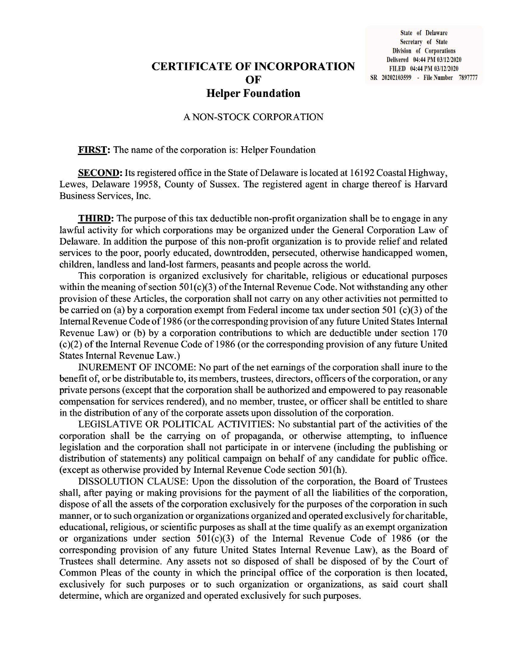## **CERTIFICATE OF INCORPORATION** OF **Helper Foundation**

#### A NON-STOCK CORPORATION

**FIRST:** The name of the corporation is: Helper Foundation

**SECOND:** Its registered office in the State of Delaware is located at 16192 Coastal Highway, Lewes, Delaware 19958, County of Sussex. The registered agent in charge thereof is Harvard Business Services, Inc.

**THIRD:** The purpose of this tax deductible non-profit organization shall be to engage in any lawful activity for which corporations may be organized under the General Corporation Law of Delaware. In addition the purpose of this non-profit organization is to provide relief and related services to the poor, poorly educated, downtrodden, persecuted, otherwise handicapped women, children, landless and land-lost farmers, peasants and people across the world.

This corporation is organized exclusively for charitable, religious or educational purposes within the meaning of section  $501(c)(3)$  of the Internal Revenue Code. Not withstanding any other provision of these Articles, the corporation shall not carry on any other activities not permitted to be carried on (a) by a corporation exempt from Federal income tax under section 501  $(c)(3)$  of the Internal Revenue Code of 1986 (or the corresponding provision of any future United States Internal Revenue Law) or (b) by a corporation contributions to which are deductible under section 170  $(c)(2)$  of the Internal Revenue Code of 1986 (or the corresponding provision of any future United **States Internal Revenue Law.)** 

INUREMENT OF INCOME: No part of the net earnings of the corporation shall inure to the benefit of, or be distributable to, its members, trustees, directors, officers of the corporation, or any private persons (except that the corporation shall be authorized and empowered to pay reasonable compensation for services rendered), and no member, trustee, or officer shall be entitled to share in the distribution of any of the corporate assets upon dissolution of the corporation.

LEGISLATIVE OR POLITICAL ACTIVITIES: No substantial part of the activities of the corporation shall be the carrying on of propaganda, or otherwise attempting, to influence legislation and the corporation shall not participate in or intervene (including the publishing or distribution of statements) any political campaign on behalf of any candidate for public office. (except as otherwise provided by Internal Revenue Code section 501(h).

DISSOLUTION CLAUSE: Upon the dissolution of the corporation, the Board of Trustees shall, after paying or making provisions for the payment of all the liabilities of the corporation, dispose of all the assets of the corporation exclusively for the purposes of the corporation in such manner, or to such organization or organizations organized and operated exclusively for charitable, educational, religious, or scientific purposes as shall at the time qualify as an exempt organization or organizations under section  $501(c)(3)$  of the Internal Revenue Code of 1986 (or the corresponding provision of any future United States Internal Revenue Law), as the Board of Trustees shall determine. Any assets not so disposed of shall be disposed of by the Court of Common Pleas of the county in which the principal office of the corporation is then located, exclusively for such purposes or to such organization or organizations, as said court shall determine, which are organized and operated exclusively for such purposes.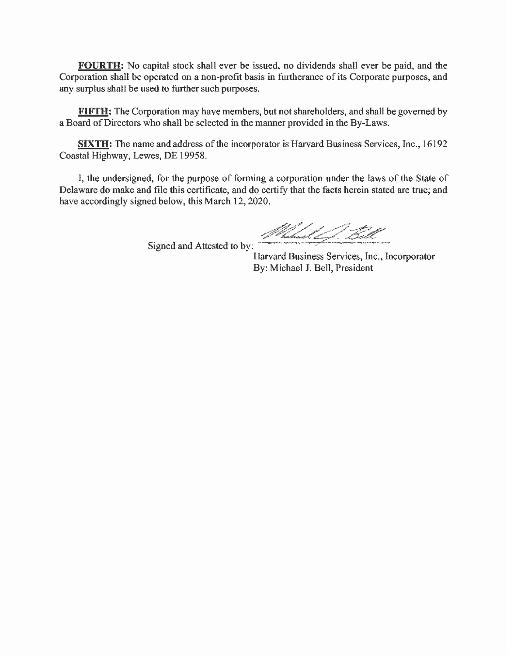**FOURTH:** No capital stock shall ever be issued, no dividends shall ever be paid, and the Corporation shall be operated on a non-profit basis in furtherance of its Corporate purposes, and any surplus shall be used to further such purposes.

**FIFTH:** The Corporation may have members, but not shareholders, and shall be governed by a Board of Directors who shall be selected in the manner provided in the By-Laws.

**SIXTH:** The name and address of the incorporator is Harvard Business Services, Inc., 16192 Coastal Highway, Lewes, DE 19958.

I, the undersigned, for the purpose of forming a corporation under the laws of the State of Delaware do make and file this certificate, and do certify that the facts herein stated are true; and have accordingly signed below, this March 12, 2020.

Signed and Attested to by:

// hebreel ( f. Bell

Harvard Business Services, Inc., Incorporator By: Michael J. Bell, President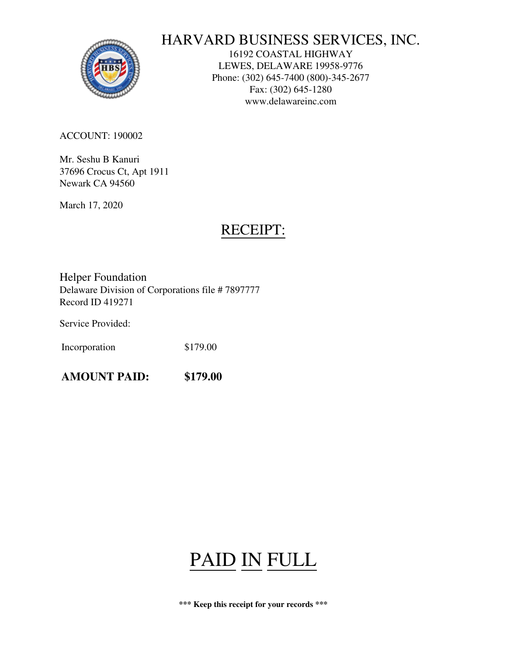

# HARVARD BUSINESS SERVICES, INC.

16192 COASTAL HIGHWAY LEWES, DELAWARE 19958-9776 Phone: (302) 645-7400 (800)-345-2677 Fax: (302) 645-1280 www.delawareinc.com

ACCOUNT: 190002

Mr. Seshu B Kanuri 37696 Crocus Ct, Apt 1911 Newark CA 94560

March 17, 2020

# RECEIPT:

Helper Foundation Delaware Division of Corporations file # 7897777 Record ID 419271

Service Provided:

Incorporation \$179.00

**AMOUNT PAID: \$179.00**

# PAID IN FULL

**\*\*\* Keep this receipt for your records \*\*\***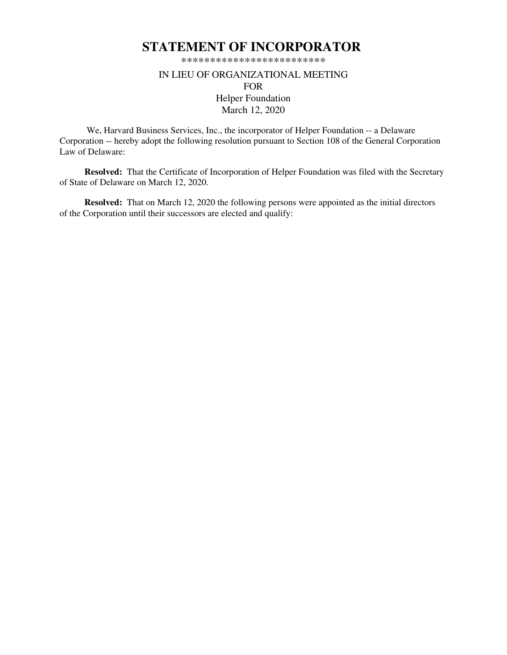## **STATEMENT OF INCORPORATOR**

\*\*\*\*\*\*\*\*\*\*\*\*\*\*\*\*\*\*\*\*\*\*\*\*\*

### IN LIEU OF ORGANIZATIONAL MEETING FOR Helper Foundation March 12, 2020

 We, Harvard Business Services, Inc., the incorporator of Helper Foundation -- a Delaware Corporation -- hereby adopt the following resolution pursuant to Section 108 of the General Corporation Law of Delaware:

**Resolved:** That the Certificate of Incorporation of Helper Foundation was filed with the Secretary of State of Delaware on March 12, 2020.

**Resolved:** That on March 12, 2020 the following persons were appointed as the initial directors of the Corporation until their successors are elected and qualify: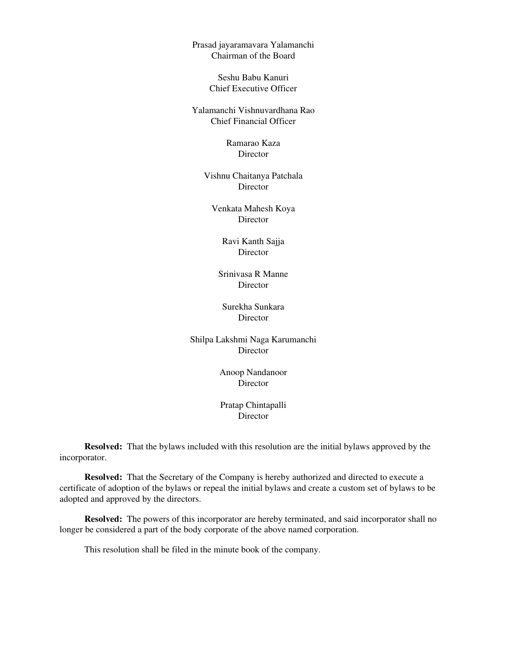Prasad jayaramavara Yalamanchi Chairman of the Board

> Seshu Babu Kanuri Chief Executive Officer

Yalamanchi Vishnuvardhana Rao Chief Financial Officer

> Ramarao Kaza Director

Vishnu Chaitanya Patchala Director

Venkata Mahesh Koya **Director** 

> Ravi Kanth Sajja **Director**

Srinivasa R Manne **Director** 

Surekha Sunkara Director

Shilpa Lakshmi Naga Karumanchi Director

> Anoop Nandanoor Director

> Pratap Chintapalli **Director**

**Resolved:** That the bylaws included with this resolution are the initial bylaws approved by the incorporator.

**Resolved:** That the Secretary of the Company is hereby authorized and directed to execute a certificate of adoption of the bylaws or repeal the initial bylaws and create a custom set of bylaws to be adopted and approved by the directors.

**Resolved:** The powers of this incorporator are hereby terminated, and said incorporator shall no longer be considered a part of the body corporate of the above named corporation.

This resolution shall be filed in the minute book of the company.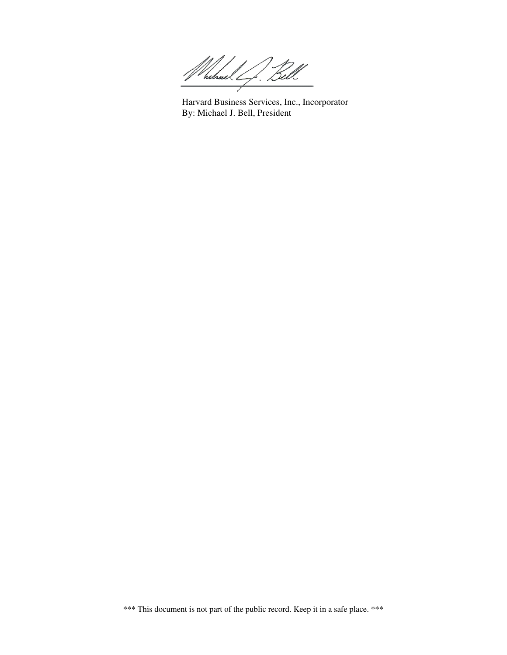hihael L  $\overline{\phantom{a}}$ 

Harvard Business Services, Inc., Incorporator By: Michael J. Bell, President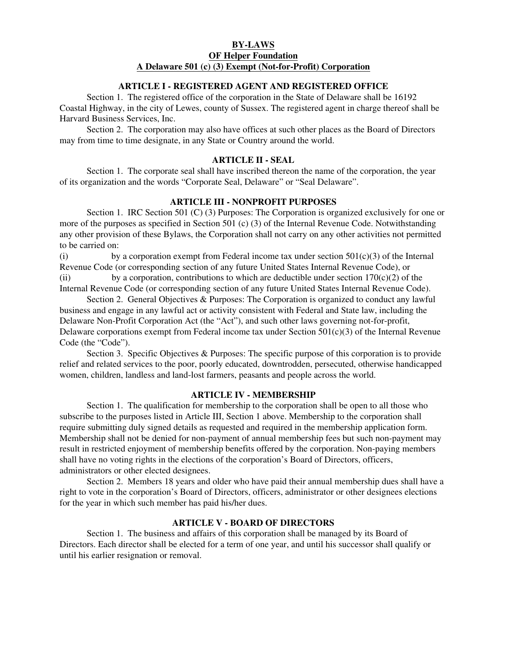#### **BY-LAWS OF Helper Foundation A Delaware 501 (c) (3) Exempt (Not-for-Profit) Corporation**

#### **ARTICLE I - REGISTERED AGENT AND REGISTERED OFFICE**

 Section 1. The registered office of the corporation in the State of Delaware shall be 16192 Coastal Highway, in the city of Lewes, county of Sussex. The registered agent in charge thereof shall be Harvard Business Services, Inc.

 Section 2. The corporation may also have offices at such other places as the Board of Directors may from time to time designate, in any State or Country around the world.

#### **ARTICLE II - SEAL**

 Section 1. The corporate seal shall have inscribed thereon the name of the corporation, the year of its organization and the words "Corporate Seal, Delaware" or "Seal Delaware".

#### **ARTICLE III - NONPROFIT PURPOSES**

 Section 1. IRC Section 501 (C) (3) Purposes: The Corporation is organized exclusively for one or more of the purposes as specified in Section 501 (c) (3) of the Internal Revenue Code. Notwithstanding any other provision of these Bylaws, the Corporation shall not carry on any other activities not permitted to be carried on:

(i) by a corporation exempt from Federal income tax under section  $501(c)(3)$  of the Internal Revenue Code (or corresponding section of any future United States Internal Revenue Code), or

(ii) by a corporation, contributions to which are deductible under section  $170(c)(2)$  of the Internal Revenue Code (or corresponding section of any future United States Internal Revenue Code).

 Section 2. General Objectives & Purposes: The Corporation is organized to conduct any lawful business and engage in any lawful act or activity consistent with Federal and State law, including the Delaware Non-Profit Corporation Act (the "Act"), and such other laws governing not-for-profit, Delaware corporations exempt from Federal income tax under Section  $501(c)(3)$  of the Internal Revenue Code (the "Code").

 Section 3. Specific Objectives & Purposes: The specific purpose of this corporation is to provide relief and related services to the poor, poorly educated, downtrodden, persecuted, otherwise handicapped women, children, landless and land-lost farmers, peasants and people across the world.

#### **ARTICLE IV - MEMBERSHIP**

 Section 1. The qualification for membership to the corporation shall be open to all those who subscribe to the purposes listed in Article III, Section 1 above. Membership to the corporation shall require submitting duly signed details as requested and required in the membership application form. Membership shall not be denied for non-payment of annual membership fees but such non-payment may result in restricted enjoyment of membership benefits offered by the corporation. Non-paying members shall have no voting rights in the elections of the corporation's Board of Directors, officers, administrators or other elected designees.

 Section 2. Members 18 years and older who have paid their annual membership dues shall have a right to vote in the corporation's Board of Directors, officers, administrator or other designees elections for the year in which such member has paid his/her dues.

#### **ARTICLE V - BOARD OF DIRECTORS**

 Section 1. The business and affairs of this corporation shall be managed by its Board of Directors. Each director shall be elected for a term of one year, and until his successor shall qualify or until his earlier resignation or removal.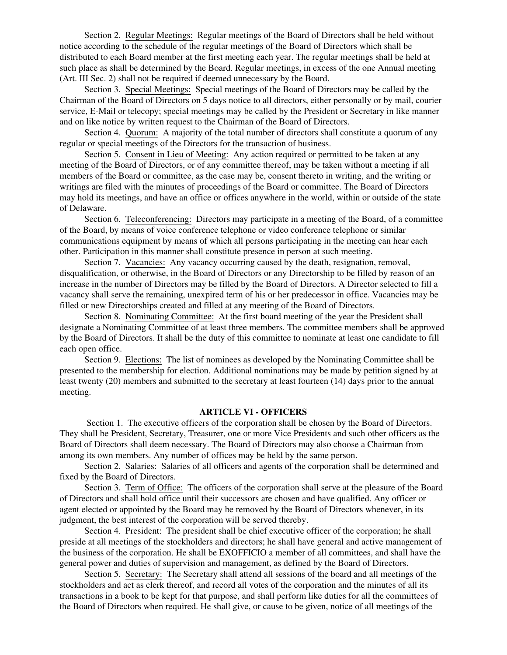Section 2. Regular Meetings: Regular meetings of the Board of Directors shall be held without notice according to the schedule of the regular meetings of the Board of Directors which shall be distributed to each Board member at the first meeting each year. The regular meetings shall be held at such place as shall be determined by the Board. Regular meetings, in excess of the one Annual meeting (Art. III Sec. 2) shall not be required if deemed unnecessary by the Board.

Section 3. Special Meetings: Special meetings of the Board of Directors may be called by the Chairman of the Board of Directors on 5 days notice to all directors, either personally or by mail, courier service, E-Mail or telecopy; special meetings may be called by the President or Secretary in like manner and on like notice by written request to the Chairman of the Board of Directors.

Section 4. Quorum: A majority of the total number of directors shall constitute a quorum of any regular or special meetings of the Directors for the transaction of business.

Section 5. Consent in Lieu of Meeting: Any action required or permitted to be taken at any meeting of the Board of Directors, or of any committee thereof, may be taken without a meeting if all members of the Board or committee, as the case may be, consent thereto in writing, and the writing or writings are filed with the minutes of proceedings of the Board or committee. The Board of Directors may hold its meetings, and have an office or offices anywhere in the world, within or outside of the state of Delaware.

Section 6. Teleconferencing: Directors may participate in a meeting of the Board, of a committee of the Board, by means of voice conference telephone or video conference telephone or similar communications equipment by means of which all persons participating in the meeting can hear each other. Participation in this manner shall constitute presence in person at such meeting.

Section 7. Vacancies: Any vacancy occurring caused by the death, resignation, removal, disqualification, or otherwise, in the Board of Directors or any Directorship to be filled by reason of an increase in the number of Directors may be filled by the Board of Directors. A Director selected to fill a vacancy shall serve the remaining, unexpired term of his or her predecessor in office. Vacancies may be filled or new Directorships created and filled at any meeting of the Board of Directors.

Section 8. Nominating Committee: At the first board meeting of the year the President shall designate a Nominating Committee of at least three members. The committee members shall be approved by the Board of Directors. It shall be the duty of this committee to nominate at least one candidate to fill each open office.

Section 9. Elections: The list of nominees as developed by the Nominating Committee shall be presented to the membership for election. Additional nominations may be made by petition signed by at least twenty (20) members and submitted to the secretary at least fourteen (14) days prior to the annual meeting.

#### **ARTICLE VI - OFFICERS**

 Section 1. The executive officers of the corporation shall be chosen by the Board of Directors. They shall be President, Secretary, Treasurer, one or more Vice Presidents and such other officers as the Board of Directors shall deem necessary. The Board of Directors may also choose a Chairman from among its own members. Any number of offices may be held by the same person.

Section 2. Salaries: Salaries of all officers and agents of the corporation shall be determined and fixed by the Board of Directors.

Section 3. Term of Office: The officers of the corporation shall serve at the pleasure of the Board of Directors and shall hold office until their successors are chosen and have qualified. Any officer or agent elected or appointed by the Board may be removed by the Board of Directors whenever, in its judgment, the best interest of the corporation will be served thereby.

Section 4. President: The president shall be chief executive officer of the corporation; he shall preside at all meetings of the stockholders and directors; he shall have general and active management of the business of the corporation. He shall be EXOFFICIO a member of all committees, and shall have the general power and duties of supervision and management, as defined by the Board of Directors.

Section 5. Secretary: The Secretary shall attend all sessions of the board and all meetings of the stockholders and act as clerk thereof, and record all votes of the corporation and the minutes of all its transactions in a book to be kept for that purpose, and shall perform like duties for all the committees of the Board of Directors when required. He shall give, or cause to be given, notice of all meetings of the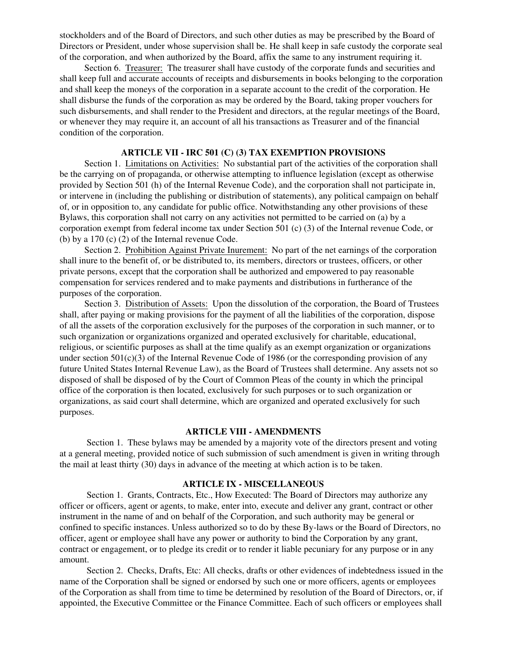stockholders and of the Board of Directors, and such other duties as may be prescribed by the Board of Directors or President, under whose supervision shall be. He shall keep in safe custody the corporate seal of the corporation, and when authorized by the Board, affix the same to any instrument requiring it.

Section 6. Treasurer: The treasurer shall have custody of the corporate funds and securities and shall keep full and accurate accounts of receipts and disbursements in books belonging to the corporation and shall keep the moneys of the corporation in a separate account to the credit of the corporation. He shall disburse the funds of the corporation as may be ordered by the Board, taking proper vouchers for such disbursements, and shall render to the President and directors, at the regular meetings of the Board, or whenever they may require it, an account of all his transactions as Treasurer and of the financial condition of the corporation.

#### **ARTICLE VII - IRC 501 (C) (3) TAX EXEMPTION PROVISIONS**

Section 1. Limitations on Activities: No substantial part of the activities of the corporation shall be the carrying on of propaganda, or otherwise attempting to influence legislation (except as otherwise provided by Section 501 (h) of the Internal Revenue Code), and the corporation shall not participate in, or intervene in (including the publishing or distribution of statements), any political campaign on behalf of, or in opposition to, any candidate for public office. Notwithstanding any other provisions of these Bylaws, this corporation shall not carry on any activities not permitted to be carried on (a) by a corporation exempt from federal income tax under Section 501 (c) (3) of the Internal revenue Code, or (b) by a 170 (c) (2) of the Internal revenue Code.

Section 2. Prohibition Against Private Inurement: No part of the net earnings of the corporation shall inure to the benefit of, or be distributed to, its members, directors or trustees, officers, or other private persons, except that the corporation shall be authorized and empowered to pay reasonable compensation for services rendered and to make payments and distributions in furtherance of the purposes of the corporation.

Section 3. Distribution of Assets: Upon the dissolution of the corporation, the Board of Trustees shall, after paying or making provisions for the payment of all the liabilities of the corporation, dispose of all the assets of the corporation exclusively for the purposes of the corporation in such manner, or to such organization or organizations organized and operated exclusively for charitable, educational, religious, or scientific purposes as shall at the time qualify as an exempt organization or organizations under section  $501(c)(3)$  of the Internal Revenue Code of 1986 (or the corresponding provision of any future United States Internal Revenue Law), as the Board of Trustees shall determine. Any assets not so disposed of shall be disposed of by the Court of Common Pleas of the county in which the principal office of the corporation is then located, exclusively for such purposes or to such organization or organizations, as said court shall determine, which are organized and operated exclusively for such purposes.

#### **ARTICLE VIII - AMENDMENTS**

 Section 1. These bylaws may be amended by a majority vote of the directors present and voting at a general meeting, provided notice of such submission of such amendment is given in writing through the mail at least thirty (30) days in advance of the meeting at which action is to be taken.

#### **ARTICLE IX - MISCELLANEOUS**

 Section 1. Grants, Contracts, Etc., How Executed: The Board of Directors may authorize any officer or officers, agent or agents, to make, enter into, execute and deliver any grant, contract or other instrument in the name of and on behalf of the Corporation, and such authority may be general or confined to specific instances. Unless authorized so to do by these By-laws or the Board of Directors, no officer, agent or employee shall have any power or authority to bind the Corporation by any grant, contract or engagement, or to pledge its credit or to render it liable pecuniary for any purpose or in any amount.

 Section 2. Checks, Drafts, Etc: All checks, drafts or other evidences of indebtedness issued in the name of the Corporation shall be signed or endorsed by such one or more officers, agents or employees of the Corporation as shall from time to time be determined by resolution of the Board of Directors, or, if appointed, the Executive Committee or the Finance Committee. Each of such officers or employees shall